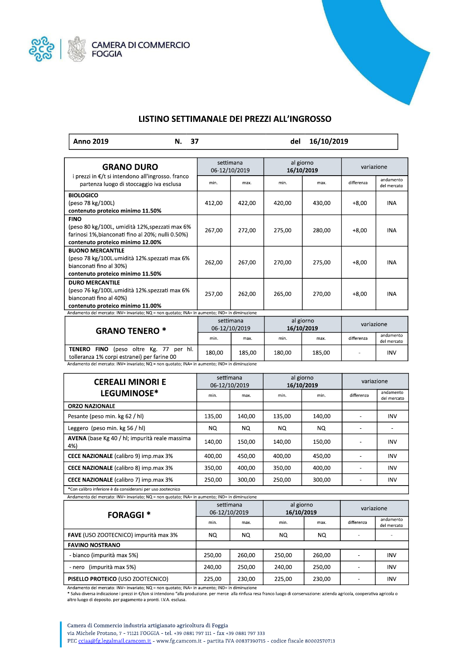



## LISTINO SETTIMANALE DEI PREZZI ALL'INGROSSO

|  |  | Anno 2019 | N. | 16/10/2019<br>del |
|--|--|-----------|----|-------------------|
|--|--|-----------|----|-------------------|

| <b>GRANO DURO</b>                                                                                                                                                                                | settimana<br>06-12/10/2019 |        | al giorno<br>16/10/2019 |        | variazione |                          |
|--------------------------------------------------------------------------------------------------------------------------------------------------------------------------------------------------|----------------------------|--------|-------------------------|--------|------------|--------------------------|
| i prezzi in €/t si intendono all'ingrosso. franco<br>partenza luogo di stoccaggio iva esclusa                                                                                                    | min.                       | max.   | min.                    | max.   | differenza | andamento<br>del mercato |
| <b>BIOLOGICO</b><br>(peso 78 kg/100L)<br>contenuto proteico minimo 11.50%                                                                                                                        | 412,00                     | 422,00 | 420,00                  | 430,00 | $+8,00$    | <b>INA</b>               |
| <b>FINO</b><br>(peso 80 kg/100L, umidità 12%, spezzati max 6%<br>farinosi 1%, bianconati fino al 20%; nulli 0.50%)<br>contenuto proteico minimo 12.00%                                           | 267,00                     | 272,00 | 275,00                  | 280,00 | $+8,00$    | <b>INA</b>               |
| <b>BUONO MERCANTILE</b><br>(peso 78 kg/100L.umidità 12%.spezzati max 6%<br>bianconati fino al 30%)<br>contenuto proteico minimo 11.50%                                                           | 262,00                     | 267,00 | 270,00                  | 275,00 | $+8,00$    | <b>INA</b>               |
| <b>DURO MERCANTILE</b><br>(peso 76 kg/100L.umidità 12%.spezzati max 6%<br>bianconati fino al 40%)<br>contenuto proteico minimo 11.00%                                                            | 257,00                     | 262,00 | 265,00                  | 270,00 | $+8,00$    | <b>INA</b>               |
| Andamento del mercato: INV= invariato; NQ = non quotato; INA= in aumento; IND= in diminuzione                                                                                                    |                            |        |                         |        |            |                          |
| <b>GRANO TENERO *</b>                                                                                                                                                                            | settimana<br>06-12/10/2019 |        | al giorno<br>16/10/2019 |        | variazione |                          |
|                                                                                                                                                                                                  | min.                       | max.   | min.                    | max.   | differenza | andamento<br>del mercato |
| <b>TENERO</b><br>FINO (peso oltre Kg. 77 per hl.<br>tolleranza 1% corpi estranei) per farine 00<br>Andamento del mercato: INV= invariato: NO = non quotato: INA= in aumento: IND= in diminuzione | 180,00                     | 185,00 | 180,00                  | 185,00 |            | <b>INV</b>               |

| CEREALLA SINORIE |  | settimana | al giorno |
|------------------|--|-----------|-----------|

| <b>CEREALI MINORI E</b>                               | ----------<br>06-12/10/2019 |        | 1.50110<br>16/10/2019 |        | variazione |                          |
|-------------------------------------------------------|-----------------------------|--------|-----------------------|--------|------------|--------------------------|
| <b>LEGUMINOSE*</b>                                    | min.                        | max.   | min.                  | min.   | differenza | andamento<br>del mercato |
| <b>ORZO NAZIONALE</b>                                 |                             |        |                       |        |            |                          |
| Pesante (peso min. kg 62 / hl)                        | 135.00                      | 140,00 | 135,00                | 140.00 |            | <b>INV</b>               |
| Leggero (peso min. kg 56 / hl)                        | NQ.                         | NQ.    | NQ.                   | NO.    |            |                          |
| AVENA (base Kg 40 / hl; impurità reale massima<br>4%) | 140.00                      | 150,00 | 140,00                | 150.00 | ۰          | <b>INV</b>               |
| <b>CECE NAZIONALE</b> (calibro 9) imp.max 3%          | 400.00                      | 450.00 | 400.00                | 450.00 | ۰          | <b>INV</b>               |
| CECE NAZIONALE (calibro 8) imp.max 3%                 | 350,00                      | 400,00 | 350,00                | 400.00 |            | <b>INV</b>               |
| <b>CECE NAZIONALE</b> (calibro 7) imp.max 3%          | 250,00                      | 300.00 | 250.00                | 300.00 |            | <b>INV</b>               |

\*Con calibro inferiore è da considerarsi per uso zootecnico

| $r$ and the definence $\alpha$ and $r = \frac{1}{2}$ and $\alpha$ and $\alpha$ and $\alpha$ and $\alpha$ and $\alpha$ and $\alpha$ and $\alpha$ and $\alpha$ and $\alpha$ and $\alpha$ and $\alpha$ and $\alpha$ and $\alpha$ and $\alpha$ and $\alpha$ and $\alpha$ and $\alpha$ and $\alpha$ and $\alpha$ and $\alpha$ |                            |        |                         |        |            |                          |
|--------------------------------------------------------------------------------------------------------------------------------------------------------------------------------------------------------------------------------------------------------------------------------------------------------------------------|----------------------------|--------|-------------------------|--------|------------|--------------------------|
| <b>FORAGGI *</b>                                                                                                                                                                                                                                                                                                         | settimana<br>06-12/10/2019 |        | al giorno<br>16/10/2019 |        | variazione |                          |
|                                                                                                                                                                                                                                                                                                                          | min.                       | max.   | min.                    | max.   | differenza | andamento<br>del mercato |
| FAVE (USO ZOOTECNICO) impurità max 3%                                                                                                                                                                                                                                                                                    | NQ.                        | NQ.    | NQ.                     | NQ.    |            |                          |
| <b>FAVINO NOSTRANO</b>                                                                                                                                                                                                                                                                                                   |                            |        |                         |        |            |                          |
| - bianco (impurità max 5%)                                                                                                                                                                                                                                                                                               | 250.00                     | 260.00 | 250.00                  | 260.00 |            | <b>INV</b>               |
| (impurità max 5%)<br>- nero                                                                                                                                                                                                                                                                                              | 240.00                     | 250.00 | 240.00                  | 250.00 |            | <b>INV</b>               |
| PISELLO PROTEICO (USO ZOOTECNICO)                                                                                                                                                                                                                                                                                        | 225,00                     | 230,00 | 225,00                  | 230,00 |            | INV                      |

Andamento del mercato: INV= invariato; NQ = non quotato; INA= in aumento; IND= in diminuzione

\* Salva diversa indicazione i prezzi in €/ton si intendono "alla produzione, per merce alla rinfusa resa franco luogo di conservazione: azienda agricola, cooperativa agricola o altro luogo di deposito. per pagamento a pronti. I.V.A. esclusa.